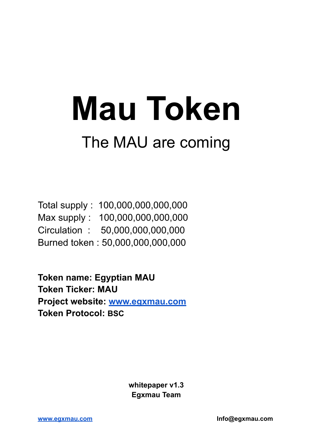# **Mau Token** The MAU are coming

Total supply : 100,000,000,000,000 Max supply : 100,000,000,000,000 Circulation : 50,000,000,000,000 Burned token : 50,000,000,000,000

**Token name: Egyptian MAU Token Ticker: MAU Project website: [www.egxmau.com](http://www.egxmau.com) Token Protocol: BSC**

> **whitepaper v1.3 Egxmau Team**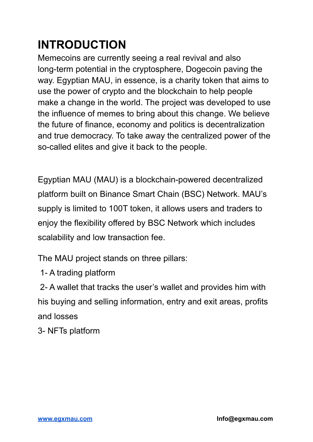## **INTRODUCTION**

Memecoins are currently seeing a real revival and also long-term potential in the cryptosphere, Dogecoin paving the way. Egyptian MAU, in essence, is a charity token that aims to use the power of crypto and the blockchain to help people make a change in the world. The project was developed to use the influence of memes to bring about this change. We believe the future of finance, economy and politics is decentralization and true democracy. To take away the centralized power of the so-called elites and give it back to the people.

Egyptian MAU (MAU) is a blockchain-powered decentralized platform built on Binance Smart Chain (BSC) Network. MAU's supply is limited to 100T token, it allows users and traders to enjoy the flexibility offered by BSC Network which includes scalability and low transaction fee.

The MAU project stands on three pillars:

1- A trading platform

2- A wallet that tracks the user's wallet and provides him with his buying and selling information, entry and exit areas, profits and losses

3- NFTs platform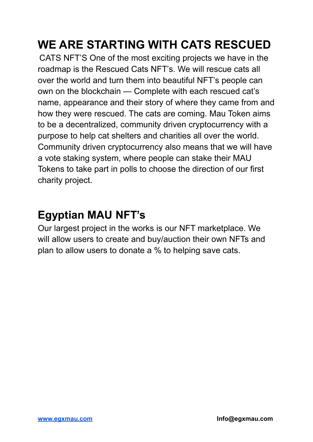## **WE ARE STARTING WITH CATS RESCUED**

CATS NFT'S One of the most exciting projects we have in the roadmap is the Rescued Cats NFT's. We will rescue cats all over the world and turn them into beautiful NFT's people can own on the blockchain — Complete with each rescued cat's name, appearance and their story of where they came from and how they were rescued. The cats are coming. Mau Token aims to be a decentralized, community driven cryptocurrency with a purpose to help cat shelters and charities all over the world. Community driven cryptocurrency also means that we will have a vote staking system, where people can stake their MAU Tokens to take part in polls to choose the direction of our first charity project.

## **Egyptian MAU NFT's**

Our largest project in the works is our NFT marketplace. We will allow users to create and buy/auction their own NFTs and plan to allow users to donate a % to helping save cats.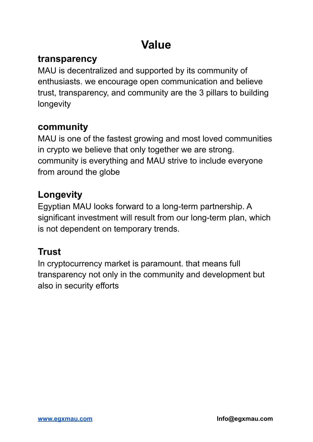## **Value**

#### **transparency**

MAU is decentralized and supported by its community of enthusiasts. we encourage open communication and believe trust, transparency, and community are the 3 pillars to building longevity

#### **community**

MAU is one of the fastest growing and most loved communities in crypto we believe that only together we are strong. community is everything and MAU strive to include everyone from around the globe

#### **Longevity**

Egyptian MAU looks forward to a long-term partnership. A significant investment will result from our long-term plan, which is not dependent on temporary trends.

### **Trust**

In cryptocurrency market is paramount. that means full transparency not only in the community and development but also in security efforts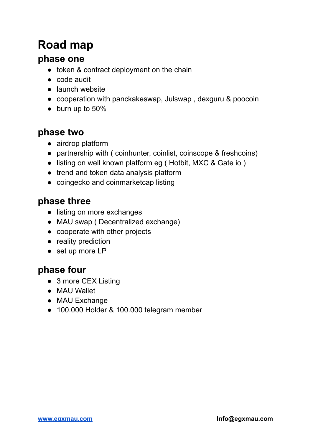## **Road map**

#### **phase one**

- token & contract deployment on the chain
- code audit
- launch website
- cooperation with panckakeswap, Julswap, dexguru & poocoin
- burn up to 50%

#### **phase two**

- airdrop platform
- partnership with ( coinhunter, coinlist, coinscope & freshcoins)
- listing on well known platform eg (Hotbit, MXC & Gate io)
- trend and token data analysis platform
- coingecko and coinmarketcap listing

#### **phase three**

- listing on more exchanges
- MAU swap (Decentralized exchange)
- cooperate with other projects
- reality prediction
- set up more LP

#### **phase four**

- 3 more CEX Listing
- MAU Wallet
- MAU Exchange
- 100.000 Holder & 100.000 telegram member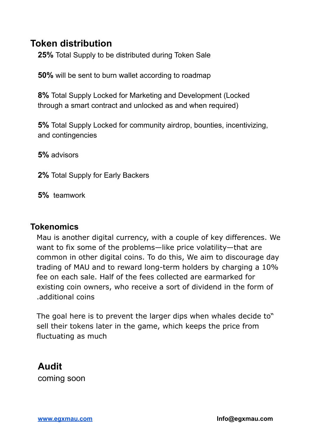#### **Token distribution**

**25%** Total Supply to be distributed during Token Sale

**50%** will be sent to burn wallet according to roadmap

**8%** Total Supply Locked for Marketing and Development (Locked through a smart contract and unlocked as and when required)

**5%** Total Supply Locked for community airdrop, bounties, incentivizing, and contingencies

**5%** advisors

**2%** Total Supply for Early Backers

**5%** teamwork

#### **Tokenomics**

Mau is another digital currency, with a couple of key differences. We want to fix some of the problems—like price volatility—that are common in other digital coins. To do this, We aim to discourage day trading of MAU and to reward long-term holders by charging a 10% fee on each sale. Half of the fees collected are earmarked for existing coin owners, who receive a sort of dividend in the form of .additional coins

The goal here is to prevent the larger dips when whales decide to" sell their tokens later in the game, which keeps the price from fluctuating as much

**Audit**

coming soon